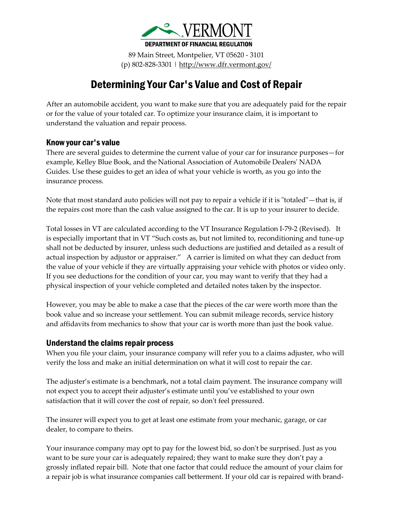

89 Main Street, Montpelier, VT 05620 - 3101 (p) 802-828-3301 |<http://www.dfr.vermont.gov/>

## Determining Your Car's Value and Cost of Repair

After an automobile accident, you want to make sure that you are adequately paid for the repair or for the value of your totaled car. To optimize your insurance claim, it is important to understand the valuation and repair process.

## Know your car's value

There are several guides to determine the current value of your car for insurance purposes—for example, Kelley Blue Book, and the National Association of Automobile Dealers' NADA Guides. Use these guides to get an idea of what your vehicle is worth, as you go into the insurance process.

Note that most standard auto policies will not pay to repair a vehicle if it is "totaled"—that is, if the repairs cost more than the cash value assigned to the car. It is up to your insurer to decide.

Total losses in VT are calculated according to the VT Insurance Regulation I-79-2 (Revised). It is especially important that in VT "Such costs as, but not limited to, reconditioning and tune-up shall not be deducted by insurer, unless such deductions are justified and detailed as a result of actual inspection by adjustor or appraiser." A carrier is limited on what they can deduct from the value of your vehicle if they are virtually appraising your vehicle with photos or video only. If you see deductions for the condition of your car, you may want to verify that they had a physical inspection of your vehicle completed and detailed notes taken by the inspector.

However, you may be able to make a case that the pieces of the car were worth more than the book value and so increase your settlement. You can submit mileage records, service history and affidavits from mechanics to show that your car is worth more than just the book value.

## Understand the claims repair process

When you file your claim, your insurance company will refer you to a claims adjuster, who will verify the loss and make an initial determination on what it will cost to repair the car.

The adjuster's estimate is a benchmark, not a total claim payment. The insurance company will not expect you to accept their adjuster's estimate until you've established to your own satisfaction that it will cover the cost of repair, so don't feel pressured.

The insurer will expect you to get at least one estimate from your mechanic, garage, or car dealer, to compare to theirs.

Your insurance company may opt to pay for the lowest bid, so don't be surprised. Just as you want to be sure your car is adequately repaired; they want to make sure they don't pay a grossly inflated repair bill. Note that one factor that could reduce the amount of your claim for a repair job is what insurance companies call betterment. If your old car is repaired with brand